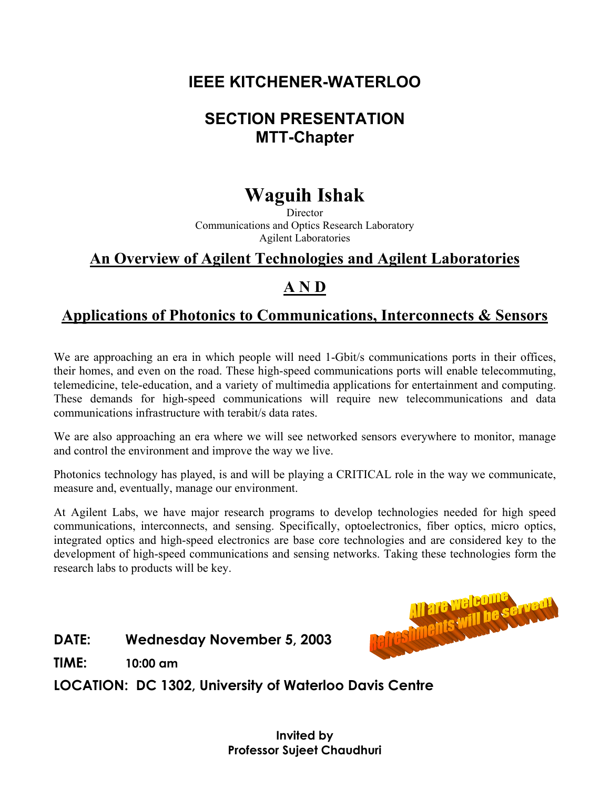# **IEEE KITCHENER-WATERLOO**

# **SECTION PRESENTATION MTT-Chapter**

# **Waguih Ishak**

**Director** Communications and Optics Research Laboratory Agilent Laboratories

### **An Overview of Agilent Technologies and Agilent Laboratories**

### **A N D**

### **Applications of Photonics to Communications, Interconnects & Sensors**

We are approaching an era in which people will need 1-Gbit/s communications ports in their offices, their homes, and even on the road. These high-speed communications ports will enable telecommuting, telemedicine, tele-education, and a variety of multimedia applications for entertainment and computing. These demands for high-speed communications will require new telecommunications and data communications infrastructure with terabit/s data rates.

We are also approaching an era where we will see networked sensors everywhere to monitor, manage and control the environment and improve the way we live.

Photonics technology has played, is and will be playing a CRITICAL role in the way we communicate, measure and, eventually, manage our environment.

At Agilent Labs, we have major research programs to develop technologies needed for high speed communications, interconnects, and sensing. Specifically, optoelectronics, fiber optics, micro optics, integrated optics and high-speed electronics are base core technologies and are considered key to the development of high-speed communications and sensing networks. Taking these technologies form the research labs to products will be key.

#### **DATE: Wednesday November 5, 2003**



**TIME: 10:00 am**

**LOCATION: DC 1302, University of Waterloo Davis Centre**